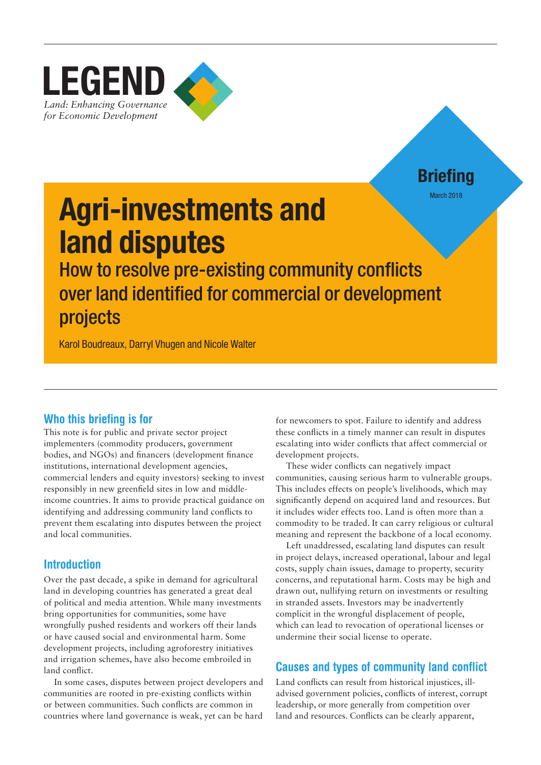

**Briefing** March 2018

# Agri-investments and land disputes

How to resolve pre-existing community conflicts over land identified for commercial or development projects

Karol Boudreaux, Darryl Vhugen and Nicole Walter

## Who this briefing is for

This note is for public and private sector project implementers (commodity producers, government bodies, and NGOs) and financers (development finance institutions, international development agencies, commercial lenders and equity investors) seeking to invest responsibly in new greenfield sites in low and middleincome countries. It aims to provide practical guidance on identifying and addressing community land conflicts to prevent them escalating into disputes between the project and local communities.

## Introduction

Over the past decade, a spike in demand for agricultural land in developing countries has generated a great deal of political and media attention. While many investments bring opportunities for communities, some have wrongfully pushed residents and workers off their lands or have caused social and environmental harm. Some development projects, including agroforestry initiatives and irrigation schemes, have also become embroiled in land conflict.

In some cases, disputes between project developers and communities are rooted in pre-existing conflicts within or between communities. Such conflicts are common in countries where land governance is weak, yet can be hard

for newcomers to spot. Failure to identify and address these conflicts in a timely manner can result in disputes escalating into wider conflicts that affect commercial or development projects.

These wider conflicts can negatively impact communities, causing serious harm to vulnerable groups. This includes effects on people's livelihoods, which may significantly depend on acquired land and resources. But it includes wider effects too. Land is often more than a commodity to be traded. It can carry religious or cultural meaning and represent the backbone of a local economy.

Left unaddressed, escalating land disputes can result in project delays, increased operational, labour and legal costs, supply chain issues, damage to property, security concerns, and reputational harm. Costs may be high and drawn out, nullifying return on investments or resulting in stranded assets. Investors may be inadvertently complicit in the wrongful displacement of people, which can lead to revocation of operational licenses or undermine their social license to operate.

## Causes and types of community land conflict

Land conflicts can result from historical injustices, illadvised government policies, conflicts of interest, corrupt leadership, or more generally from competition over land and resources. Conflicts can be clearly apparent,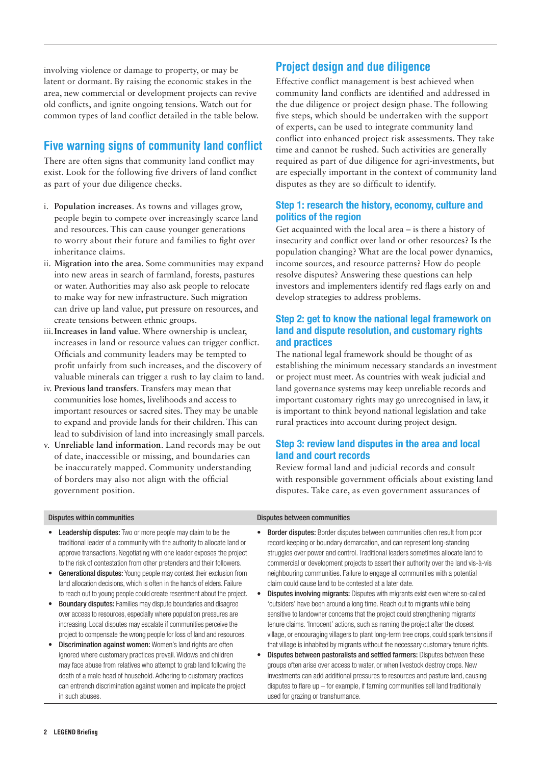involving violence or damage to property, or may be latent or dormant. By raising the economic stakes in the area, new commercial or development projects can revive old conflicts, and ignite ongoing tensions. Watch out for common types of land conflict detailed in the table below.

## Five warning signs of community land conflict

There are often signs that community land conflict may exist. Look for the following five drivers of land conflict as part of your due diligence checks.

- i. **Population increases**. As towns and villages grow, people begin to compete over increasingly scarce land and resources. This can cause younger generations to worry about their future and families to fight over inheritance claims.
- ii. **Migration into the area**. Some communities may expand into new areas in search of farmland, forests, pastures or water. Authorities may also ask people to relocate to make way for new infrastructure. Such migration can drive up land value, put pressure on resources, and create tensions between ethnic groups.
- iii.**Increases in land value**. Where ownership is unclear, increases in land or resource values can trigger conflict. Officials and community leaders may be tempted to profit unfairly from such increases, and the discovery of valuable minerals can trigger a rush to lay claim to land.
- iv. **Previous land transfers**. Transfers may mean that communities lose homes, livelihoods and access to important resources or sacred sites. They may be unable to expand and provide lands for their children. This can lead to subdivision of land into increasingly small parcels.
- v. **Unreliable land information**. Land records may be out of date, inaccessible or missing, and boundaries can be inaccurately mapped. Community understanding of borders may also not align with the official government position.

## Project design and due diligence

Effective conflict management is best achieved when community land conflicts are identified and addressed in the due diligence or project design phase. The following five steps, which should be undertaken with the support of experts, can be used to integrate community land conflict into enhanced project risk assessments. They take time and cannot be rushed. Such activities are generally required as part of due diligence for agri-investments, but are especially important in the context of community land disputes as they are so difficult to identify.

## Step 1: research the history, economy, culture and politics of the region

Get acquainted with the local area – is there a history of insecurity and conflict over land or other resources? Is the population changing? What are the local power dynamics, income sources, and resource patterns? How do people resolve disputes? Answering these questions can help investors and implementers identify red flags early on and develop strategies to address problems.

## Step 2: get to know the national legal framework on land and dispute resolution, and customary rights and practices

The national legal framework should be thought of as establishing the minimum necessary standards an investment or project must meet. As countries with weak judicial and land governance systems may keep unreliable records and important customary rights may go unrecognised in law, it is important to think beyond national legislation and take rural practices into account during project design.

## Step 3: review land disputes in the area and local land and court records

Review formal land and judicial records and consult with responsible government officials about existing land disputes. Take care, as even government assurances of

- Leadership disputes: Two or more people may claim to be the traditional leader of a community with the authority to allocate land or approve transactions. Negotiating with one leader exposes the project to the risk of contestation from other pretenders and their followers.
- Generational disputes: Young people may contest their exclusion from land allocation decisions, which is often in the hands of elders. Failure to reach out to young people could create resentment about the project.
- Boundary disputes: Families may dispute boundaries and disagree over access to resources, especially where population pressures are increasing. Local disputes may escalate if communities perceive the project to compensate the wrong people for loss of land and resources.
- Discrimination against women: Women's land rights are often ignored where customary practices prevail. Widows and children may face abuse from relatives who attempt to grab land following the death of a male head of household. Adhering to customary practices can entrench discrimination against women and implicate the project in such abuses.

### Disputes within communities Disputes between communities

- Border disputes: Border disputes between communities often result from poor record keeping or boundary demarcation, and can represent long-standing struggles over power and control. Traditional leaders sometimes allocate land to commercial or development projects to assert their authority over the land vis-à-vis neighbouring communities. Failure to engage all communities with a potential claim could cause land to be contested at a later date.
- **Disputes involving migrants:** Disputes with migrants exist even where so-called 'outsiders' have been around a long time. Reach out to migrants while being sensitive to landowner concerns that the project could strengthening migrants' tenure claims. 'Innocent' actions, such as naming the project after the closest village, or encouraging villagers to plant long-term tree crops, could spark tensions if that village is inhabited by migrants without the necessary customary tenure rights.
- Disputes between pastoralists and settled farmers: Disputes between these groups often arise over access to water, or when livestock destroy crops. New investments can add additional pressures to resources and pasture land, causing disputes to flare up – for example, if farming communities sell land traditionally used for grazing or transhumance.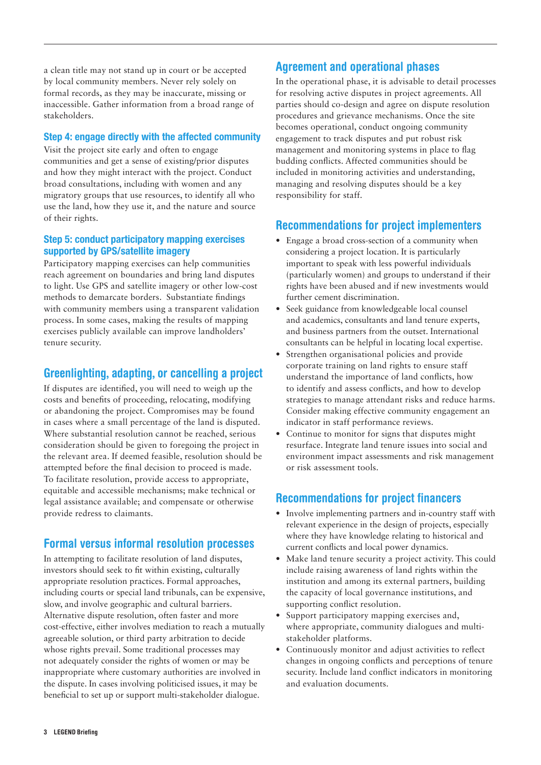a clean title may not stand up in court or be accepted by local community members. Never rely solely on formal records, as they may be inaccurate, missing or inaccessible. Gather information from a broad range of stakeholders.

## Step 4: engage directly with the affected community

Visit the project site early and often to engage communities and get a sense of existing/prior disputes and how they might interact with the project. Conduct broad consultations, including with women and any migratory groups that use resources, to identify all who use the land, how they use it, and the nature and source of their rights.

## Step 5: conduct participatory mapping exercises supported by GPS/satellite imagery

Participatory mapping exercises can help communities reach agreement on boundaries and bring land disputes to light. Use GPS and satellite imagery or other low-cost methods to demarcate borders. Substantiate findings with community members using a transparent validation process. In some cases, making the results of mapping exercises publicly available can improve landholders' tenure security.

## Greenlighting, adapting, or cancelling a project

If disputes are identified, you will need to weigh up the costs and benefits of proceeding, relocating, modifying or abandoning the project. Compromises may be found in cases where a small percentage of the land is disputed. Where substantial resolution cannot be reached, serious consideration should be given to foregoing the project in the relevant area. If deemed feasible, resolution should be attempted before the final decision to proceed is made. To facilitate resolution, provide access to appropriate, equitable and accessible mechanisms; make technical or legal assistance available; and compensate or otherwise provide redress to claimants.

## Formal versus informal resolution processes

In attempting to facilitate resolution of land disputes, investors should seek to fit within existing, culturally appropriate resolution practices. Formal approaches, including courts or special land tribunals, can be expensive, slow, and involve geographic and cultural barriers. Alternative dispute resolution, often faster and more cost-effective, either involves mediation to reach a mutually agreeable solution, or third party arbitration to decide whose rights prevail. Some traditional processes may not adequately consider the rights of women or may be inappropriate where customary authorities are involved in the dispute. In cases involving politicised issues, it may be beneficial to set up or support multi-stakeholder dialogue.

## Agreement and operational phases

In the operational phase, it is advisable to detail processes for resolving active disputes in project agreements. All parties should co-design and agree on dispute resolution procedures and grievance mechanisms. Once the site becomes operational, conduct ongoing community engagement to track disputes and put robust risk management and monitoring systems in place to flag budding conflicts. Affected communities should be included in monitoring activities and understanding, managing and resolving disputes should be a key responsibility for staff.

## Recommendations for project implementers

- **•** Engage a broad cross-section of a community when considering a project location. It is particularly important to speak with less powerful individuals (particularly women) and groups to understand if their rights have been abused and if new investments would further cement discrimination.
- **•** Seek guidance from knowledgeable local counsel and academics, consultants and land tenure experts, and business partners from the outset. International consultants can be helpful in locating local expertise.
- **•** Strengthen organisational policies and provide corporate training on land rights to ensure staff understand the importance of land conflicts, how to identify and assess conflicts, and how to develop strategies to manage attendant risks and reduce harms. Consider making effective community engagement an indicator in staff performance reviews.
- **•** Continue to monitor for signs that disputes might resurface. Integrate land tenure issues into social and environment impact assessments and risk management or risk assessment tools.

## Recommendations for project financers

- **•** Involve implementing partners and in-country staff with relevant experience in the design of projects, especially where they have knowledge relating to historical and current conflicts and local power dynamics.
- **•** Make land tenure security a project activity. This could include raising awareness of land rights within the institution and among its external partners, building the capacity of local governance institutions, and supporting conflict resolution.
- **•** Support participatory mapping exercises and, where appropriate, community dialogues and multistakeholder platforms.
- **•** Continuously monitor and adjust activities to reflect changes in ongoing conflicts and perceptions of tenure security. Include land conflict indicators in monitoring and evaluation documents.